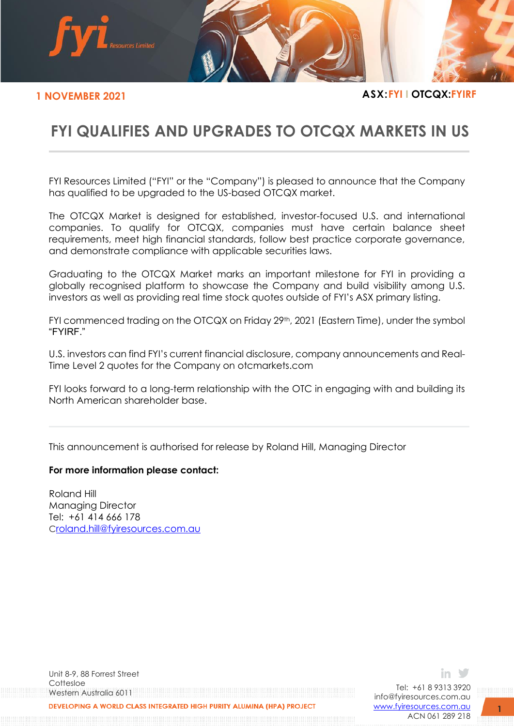

**1 NOVEMBER 2021 ASX:FYI I OTCQX:FYIRF**

## **FYI QUALIFIES AND UPGRADES TO OTCQX MARKETS IN US**

FYI Resources Limited ("FYI" or the "Company") is pleased to announce that the Company has qualified to be upgraded to the US-based OTCQX market.

The OTCQX Market is designed for established, investor-focused U.S. and international companies. To qualify for OTCQX, companies must have certain balance sheet requirements, meet high financial standards, follow best practice corporate governance, and demonstrate compliance with applicable securities laws.

Graduating to the OTCQX Market marks an important milestone for FYI in providing a globally recognised platform to showcase the Company and build visibility among U.S. investors as well as providing real time stock quotes outside of FYI's ASX primary listing.

FYI commenced trading on the OTCQX on Friday 29<sup>th</sup>, 2021 (Eastern Time), under the symbol "FYIRF."

U.S. investors can find FYI's current financial disclosure, company announcements and Real-Time Level 2 quotes for the Company on otcmarkets.com

FYI looks forward to a long-term relationship with the OTC in engaging with and building its North American shareholder base.

This announcement is authorised for release by Roland Hill, Managing Director

## **For more information please contact:**

Roland Hill Managing Director Tel: +61 414 666 178 C[roland.hill@fyiresources.com.au](mailto:roland.hill@fyiresources.com.au)

Unit 8-9, 88 Forrest Street Cottesloe Western Australia 6011 DEVELOPING A WORLD CLASS INTEGRATED HIGH PURITY ALUMINA (HPA) PROJECT

Tel: +61 8 9313 3920 [info@fyiresources.com.au](mailto:info@fyiresources.com.au) [www.fyiresources.com.au](mailto:https://www.fyiresources.com.au/) ACN 061 289 218

in 3

**1**